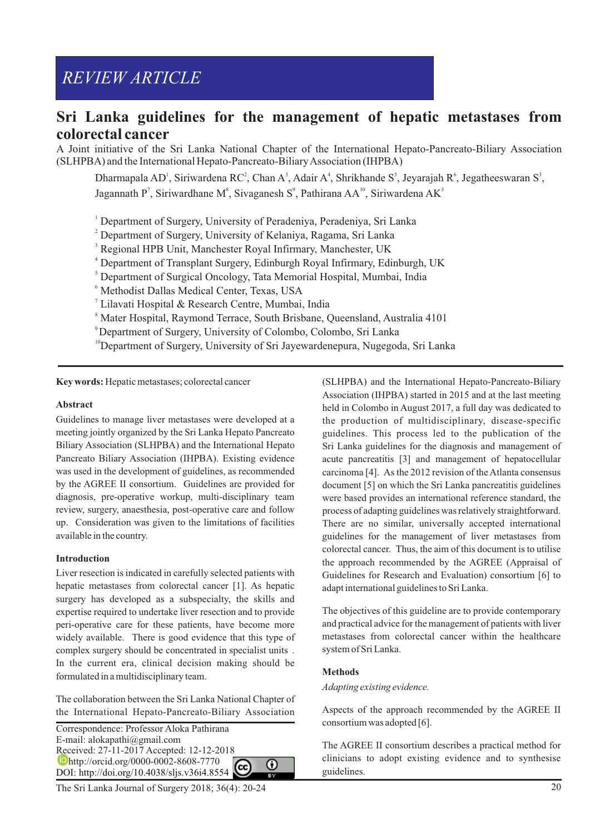# *REVIEW ARTICLE*

## **Sri Lanka guidelines for the management of hepatic metastases from colorectal cancer**

A Joint initiative of the Sri Lanka National Chapter of the International Hepato-Pancreato-Biliary Association (SLHPBA) and the International Hepato-Pancreato-Biliary Association (IHPBA)

Dharmapala AD<sup>1</sup>, Siriwardena RC<sup>2</sup>, Chan A<sup>3</sup>, Adair A<sup>4</sup>, Shrikhande S<sup>5</sup>, Jeyarajah R<sup>6</sup>, Jegatheeswaran S<sup>3</sup>, Jagannath P<sup>7</sup>, Siriwardhane M<sup>8</sup>, Sivaganesh S<sup>9</sup>, Pathirana AA<sup>10</sup>, Siriwardena AK<sup>3</sup>

- <sup>1</sup> Department of Surgery, University of Peradeniya, Peradeniya, Sri Lanka
- <sup>2</sup> Department of Surgery, University of Kelaniya, Ragama, Sri Lanka
- <sup>3</sup> Regional HPB Unit, Manchester Royal Infirmary, Manchester, UK
- 4 Department of Transplant Surgery, Edinburgh Royal Infirmary, Edinburgh, UK
- 5 Department of Surgical Oncology, Tata Memorial Hospital, Mumbai, India
- 6 Methodist Dallas Medical Center, Texas, USA
- 7 Lilavati Hospital & Research Centre, Mumbai, India
- 8 Mater Hospital, Raymond Terrace, South Brisbane, Queensland, Australia 4101
- <sup>9</sup>Department of Surgery, University of Colombo, Colombo, Sri Lanka
- <sup>10</sup>Department of Surgery, University of Sri Jayewardenepura, Nugegoda, Sri Lanka

**Key words:** Hepatic metastases; colorectal cancer

#### **Abstract**

Guidelines to manage liver metastases were developed at a meeting jointly organized by the Sri Lanka Hepato Pancreato Biliary Association (SLHPBA) and the International Hepato Pancreato Biliary Association (IHPBA). Existing evidence was used in the development of guidelines, as recommended by the AGREE II consortium. Guidelines are provided for diagnosis, pre-operative workup, multi-disciplinary team review, surgery, anaesthesia, post-operative care and follow up. Consideration was given to the limitations of facilities available in the country.

#### **Introduction**

Liver resection is indicated in carefully selected patients with hepatic metastases from colorectal cancer [1]. As hepatic surgery has developed as a subspecialty, the skills and expertise required to undertake liver resection and to provide peri-operative care for these patients, have become more widely available. There is good evidence that this type of complex surgery should be concentrated in specialist units . In the current era, clinical decision making should be formulated in a multidisciplinary team.

The collaboration between the Sri Lanka National Chapter of the International Hepato-Pancreato-Biliary Association

Correspondence: Professor Aloka Pathirana E-mail: alokapathi@gmail.com Received: 27-11-2017 Accepted: 12-12-2018 **Chttp://orcid.org/0000-0002-8608-7770** ⋒ DOI: http://doi.org/10.4038/sljs.v36i4.8554

The Sri Lanka Journal of Surgery  $2018: 36(4): 20-24$  20

(SLHPBA) and the International Hepato-Pancreato-Biliary Association (IHPBA) started in 2015 and at the last meeting held in Colombo in August 2017, a full day was dedicated to the production of multidisciplinary, disease-specific guidelines. This process led to the publication of the Sri Lanka guidelines for the diagnosis and management of acute pancreatitis [3] and management of hepatocellular carcinoma [4]. As the 2012 revision of the Atlanta consensus document [5] on which the Sri Lanka pancreatitis guidelines were based provides an international reference standard, the process of adapting guidelines was relatively straightforward. There are no similar, universally accepted international guidelines for the management of liver metastases from colorectal cancer. Thus, the aim of this document is to utilise the approach recommended by the AGREE (Appraisal of Guidelines for Research and Evaluation) consortium [6] to adapt international guidelines to Sri Lanka.

The objectives of this guideline are to provide contemporary and practical advice for the management of patients with liver metastases from colorectal cancer within the healthcare system of Sri Lanka.

#### **Methods**

*Adapting existing evidence.*

Aspects of the approach recommended by the AGREE II consortium was adopted [6].

The AGREE II consortium describes a practical method for clinicians to adopt existing evidence and to synthesise guidelines.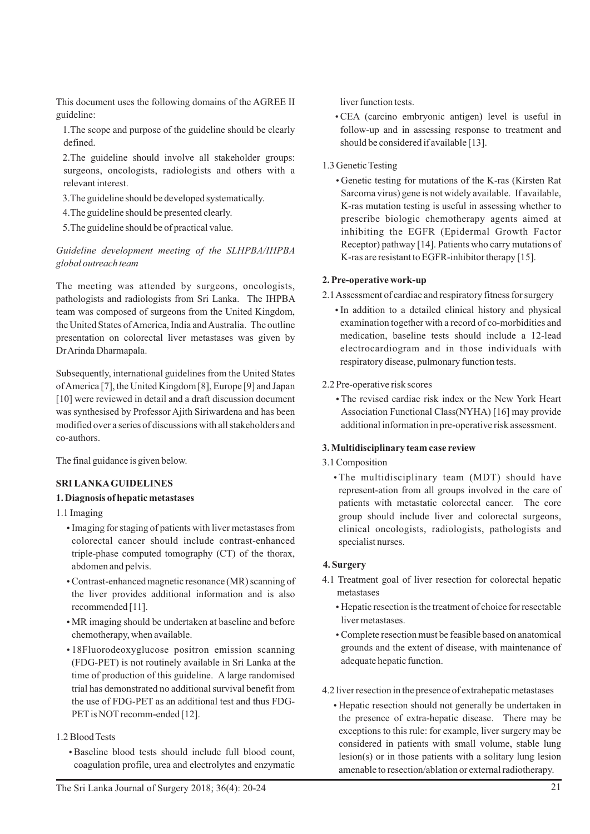This document uses the following domains of the AGREE II guideline:

1.The scope and purpose of the guideline should be clearly defined.

2.The guideline should involve all stakeholder groups: surgeons, oncologists, radiologists and others with a relevant interest.

3.The guideline should be developed systematically.

4.The guideline should be presented clearly.

5.The guideline should be of practical value.

*Guideline development meeting of the SLHPBA/IHPBA global outreach team*

The meeting was attended by surgeons, oncologists, pathologists and radiologists from Sri Lanka. The IHPBA team was composed of surgeons from the United Kingdom, the United States of America, India and Australia. The outline presentation on colorectal liver metastases was given by Dr Arinda Dharmapala.

Subsequently, international guidelines from the United States of America [7], the United Kingdom [8], Europe [9] and Japan [10] were reviewed in detail and a draft discussion document was synthesised by Professor Ajith Siriwardena and has been modified over a series of discussions with all stakeholders and co-authors.

The final guidance is given below.

## **SRI LANKAGUIDELINES**

#### **1. Diagnosis of hepatic metastases**

1.1 Imaging

- Imaging for staging of patients with liver metastases from colorectal cancer should include contrast-enhanced triple-phase computed tomography (CT) of the thorax, abdomen and pelvis.
- Contrast-enhanced magnetic resonance (MR) scanning of the liver provides additional information and is also recommended [11].
- MR imaging should be undertaken at baseline and before chemotherapy, when available.
- 18Fluorodeoxyglucose positron emission scanning (FDG-PET) is not routinely available in Sri Lanka at the time of production of this guideline. A large randomised trial has demonstrated no additional survival benefit from the use of FDG-PET as an additional test and thus FDG-PET is NOT recomm-ended [12].

## 1.2 Blood Tests

ŸBaseline blood tests should include full blood count, coagulation profile, urea and electrolytes and enzymatic

liver function tests.

• CEA (carcino embryonic antigen) level is useful in follow-up and in assessing response to treatment and should be considered if available [13].

#### 1.3 Genetic Testing

• Genetic testing for mutations of the K-ras (Kirsten Rat) Sarcoma virus) gene is not widely available. If available, K-ras mutation testing is useful in assessing whether to prescribe biologic chemotherapy agents aimed at inhibiting the EGFR (Epidermal Growth Factor Receptor) pathway [14]. Patients who carry mutations of K-ras are resistant to EGFR-inhibitor therapy [15].

#### **2. Pre-operative work-up**

2.1 Assessment of cardiac and respiratory fitness for surgery

• In addition to a detailed clinical history and physical examination together with a record of co-morbidities and medication, baseline tests should include a 12-lead electrocardiogram and in those individuals with respiratory disease, pulmonary function tests.

#### 2.2 Pre-operative risk scores

• The revised cardiac risk index or the New York Heart Association Functional Class(NYHA) [16] may provide additional information in pre-operative risk assessment.

## **3. Multidisciplinary team case review**

3.1 Composition

• The multidisciplinary team (MDT) should have represent-ation from all groups involved in the care of patients with metastatic colorectal cancer. The core group should include liver and colorectal surgeons, clinical oncologists, radiologists, pathologists and specialist nurses.

## **4. Surgery**

- 4.1 Treatment goal of liver resection for colorectal hepatic metastases
	- Hepatic resection is the treatment of choice for resectable liver metastases.
	- Complete resection must be feasible based on anatomical grounds and the extent of disease, with maintenance of adequate hepatic function.
- 4.2 liver resection in the presence of extrahepatic metastases
	- Hepatic resection should not generally be undertaken in the presence of extra-hepatic disease. There may be exceptions to this rule: for example, liver surgery may be considered in patients with small volume, stable lung lesion(s) or in those patients with a solitary lung lesion amenable to resection/ablation or external radiotherapy.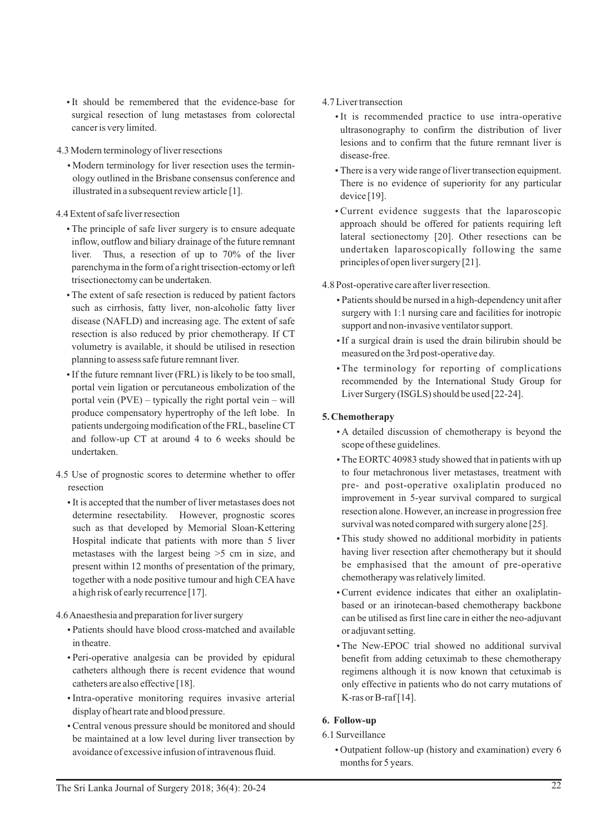- It should be remembered that the evidence-base for surgical resection of lung metastases from colorectal cancer is very limited.
- 4.3 Modern terminology of liver resections
	- Modern terminology for liver resection uses the terminology outlined in the Brisbane consensus conference and illustrated in a subsequent review article [1].
- 4.4 Extent of safe liver resection
	- The principle of safe liver surgery is to ensure adequate inflow, outflow and biliary drainage of the future remnant liver. Thus, a resection of up to 70% of the liver parenchyma in the form of a right trisection-ectomy or left trisectionectomy can be undertaken.
	- The extent of safe resection is reduced by patient factors such as cirrhosis, fatty liver, non-alcoholic fatty liver disease (NAFLD) and increasing age. The extent of safe resection is also reduced by prior chemotherapy. If CT volumetry is available, it should be utilised in resection planning to assess safe future remnant liver.
	- If the future remnant liver (FRL) is likely to be too small, portal vein ligation or percutaneous embolization of the portal vein (PVE) – typically the right portal vein – will produce compensatory hypertrophy of the left lobe. In patients undergoing modification of the FRL, baseline CT and follow-up CT at around 4 to 6 weeks should be undertaken.
- 4.5 Use of prognostic scores to determine whether to offer resection
	- It is accepted that the number of liver metastases does not determine resectability. However, prognostic scores such as that developed by Memorial Sloan-Kettering Hospital indicate that patients with more than 5 liver metastases with the largest being >5 cm in size, and present within 12 months of presentation of the primary, together with a node positive tumour and high CEA have a high risk of early recurrence [17].
- 4.6 Anaesthesia and preparation for liver surgery
	- ŸPatients should have blood cross-matched and available in theatre.
	- Peri-operative analgesia can be provided by epidural catheters although there is recent evidence that wound catheters are also effective [18].
	- Intra-operative monitoring requires invasive arterial display of heart rate and blood pressure.
	- Central venous pressure should be monitored and should be maintained at a low level during liver transection by avoidance of excessive infusion of intravenous fluid.

## 4.7 Liver transection

- It is recommended practice to use intra-operative ultrasonography to confirm the distribution of liver lesions and to confirm that the future remnant liver is disease-free.
- There is a very wide range of liver transection equipment. There is no evidence of superiority for any particular device [19].
- Current evidence suggests that the laparoscopic approach should be offered for patients requiring left lateral sectionectomy [20]. Other resections can be undertaken laparoscopically following the same principles of open liver surgery [21].

4.8 Post-operative care after liver resection.

- Patients should be nursed in a high-dependency unit after surgery with 1:1 nursing care and facilities for inotropic support and non-invasive ventilator support.
- If a surgical drain is used the drain bilirubin should be measured on the 3rd post-operative day.
- The terminology for reporting of complications recommended by the International Study Group for Liver Surgery (ISGLS) should be used [22-24].

## **5. Chemotherapy**

- A detailed discussion of chemotherapy is beyond the scope of these guidelines.
- The EORTC 40983 study showed that in patients with up to four metachronous liver metastases, treatment with pre- and post-operative oxaliplatin produced no improvement in 5-year survival compared to surgical resection alone. However, an increase in progression free survival was noted compared with surgery alone [25].
- This study showed no additional morbidity in patients having liver resection after chemotherapy but it should be emphasised that the amount of pre-operative chemotherapy was relatively limited.
- Current evidence indicates that either an oxaliplatinbased or an irinotecan-based chemotherapy backbone can be utilised as first line care in either the neo-adjuvant or adjuvant setting.
- The New-EPOC trial showed no additional survival benefit from adding cetuximab to these chemotherapy regimens although it is now known that cetuximab is only effective in patients who do not carry mutations of K-ras or B-raf [14].

## **6. Follow-up**

6.1 Surveillance

• Outpatient follow-up (history and examination) every 6 months for 5 years.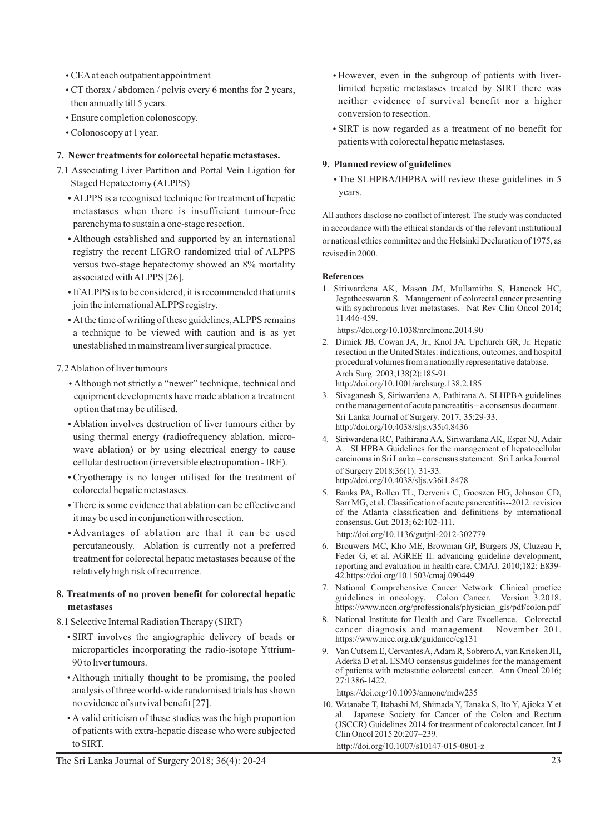- CEA at each outpatient appointment
- CT thorax / abdomen / pelvis every 6 months for 2 years, then annually till 5 years.
- Ensure completion colonoscopy.
- Colonoscopy at 1 year.

#### **7. Newer treatments for colorectal hepatic metastases.**

- 7.1 Associating Liver Partition and Portal Vein Ligation for Staged Hepatectomy (ALPPS)
	- ALPPS is a recognised technique for treatment of hepatic metastases when there is insufficient tumour-free parenchyma to sustain a one-stage resection.
	- Although established and supported by an international registry the recent LIGRO randomized trial of ALPPS versus two-stage hepatectomy showed an 8% mortality associated with ALPPS [26].
	- If ALPPS is to be considered, it is recommended that units join the international ALPPS registry.
	- At the time of writing of these guidelines, ALPPS remains a technique to be viewed with caution and is as yet unestablished in mainstream liver surgical practice.

#### 7.2 Ablation of liver tumours

- Although not strictly a "newer" technique, technical and equipment developments have made ablation a treatment option that may be utilised.
- Ablation involves destruction of liver tumours either by using thermal energy (radiofrequency ablation, microwave ablation) or by using electrical energy to cause cellular destruction (irreversible electroporation - IRE).
- Cryotherapy is no longer utilised for the treatment of colorectal hepatic metastases.
- There is some evidence that ablation can be effective and it may be used in conjunction with resection.
- Advantages of ablation are that it can be used percutaneously. Ablation is currently not a preferred treatment for colorectal hepatic metastases because of the relatively high risk of recurrence.

#### **8. Treatments of no proven benefit for colorectal hepatic metastases**

- 8.1 Selective Internal Radiation Therapy (SIRT)
	- SIRT involves the angiographic delivery of beads or microparticles incorporating the radio-isotope Yttrium-90 to liver tumours.
	- Although initially thought to be promising, the pooled analysis of three world-wide randomised trials has shown no evidence of survival benefit [27].
	- A valid criticism of these studies was the high proportion of patients with extra-hepatic disease who were subjected to SIRT.
- However, even in the subgroup of patients with liverlimited hepatic metastases treated by SIRT there was neither evidence of survival benefit nor a higher conversion to resection.
- SIRT is now regarded as a treatment of no benefit for patients with colorectal hepatic metastases.

#### **9. Planned review of guidelines**

• The SLHPBA/IHPBA will review these guidelines in 5 years.

All authors disclose no conflict of interest. The study was conducted in accordance with the ethical standards of the relevant institutional or national ethics committee and the Helsinki Declaration of 1975, as revised in 2000.

#### **References**

- 1. Siriwardena AK, Mason JM, Mullamitha S, Hancock HC, Jegatheeswaran S. Management of colorectal cancer presenting with synchronous liver metastases. Nat Rev Clin Oncol 2014; 11:446-459.
	- https://doi.org/10.1038/nrclinonc.2014.90
- 2. Dimick JB, Cowan JA, Jr., Knol JA, Upchurch GR, Jr. Hepatic resection in the United States: indications, outcomes, and hospital procedural volumes from a nationally representative database. Arch Surg. 2003;138(2):185-91. http://doi.org/10.1001/archsurg.138.2.185
- 3. Sivaganesh S, Siriwardena A, Pathirana A. SLHPBA guidelines on the management of acute pancreatitis – a consensus document. Sri Lanka Journal of Surgery. 2017; 35:29-33. http://doi.org/10.4038/sljs.v35i4.8436
- 4. Siriwardena RC, Pathirana AA, Siriwardana AK, Espat NJ, Adair A. SLHPBA Guidelines for the management of hepatocellular carcinoma in Sri Lanka – consensus statement. Sri Lanka Journal of Surgery 2018;36(1): 31-33. http://doi.org/10.4038/sljs.v36i1.8478
- 5. Banks PA, Bollen TL, Dervenis C, Gooszen HG, Johnson CD, Sarr MG, et al. Classification of acute pancreatitis--2012: revision of the Atlanta classification and definitions by international consensus. Gut. 2013; 62:102-111. http://doi.org/10.1136/gutjnl-2012-302779
- 6. Brouwers MC, Kho ME, Browman GP, Burgers JS, Cluzeau F, Feder G, et al. AGREE II: advancing guideline development, reporting and evaluation in health care. CMAJ. 2010;182: E839- 42.https://doi.org/10.1503/cmaj.090449
- 7. National Comprehensive Cancer Network. Clinical practice guidelines in oncology. Colon Cancer. Version 3.2018. https://www.nccn.org/professionals/physician\_gls/pdf/colon.pdf
- 8. National Institute for Health and Care Excellence. Colorectal cancer diagnosis and management. November 201. https://www.nice.org.uk/guidance/cg131
- 9. Van Cutsem E, Cervantes A, Adam R, Sobrero A, van Krieken JH, Aderka D et al. ESMO consensus guidelines for the management of patients with metastatic colorectal cancer. Ann Oncol 2016; 27:1386-1422.

https://doi.org/10.1093/annonc/mdw235

10. Watanabe T, Itabashi M, Shimada Y, Tanaka S, Ito Y, Ajioka Y et al. Japanese Society for Cancer of the Colon and Rectum (JSCCR) Guidelines 2014 for treatment of colorectal cancer. Int J Clin Oncol 2015 20:207–239.

http://doi.org/10.1007/s10147-015-0801-z

The Sri Lanka Journal of Surgery 2018; 36(4): 20-24